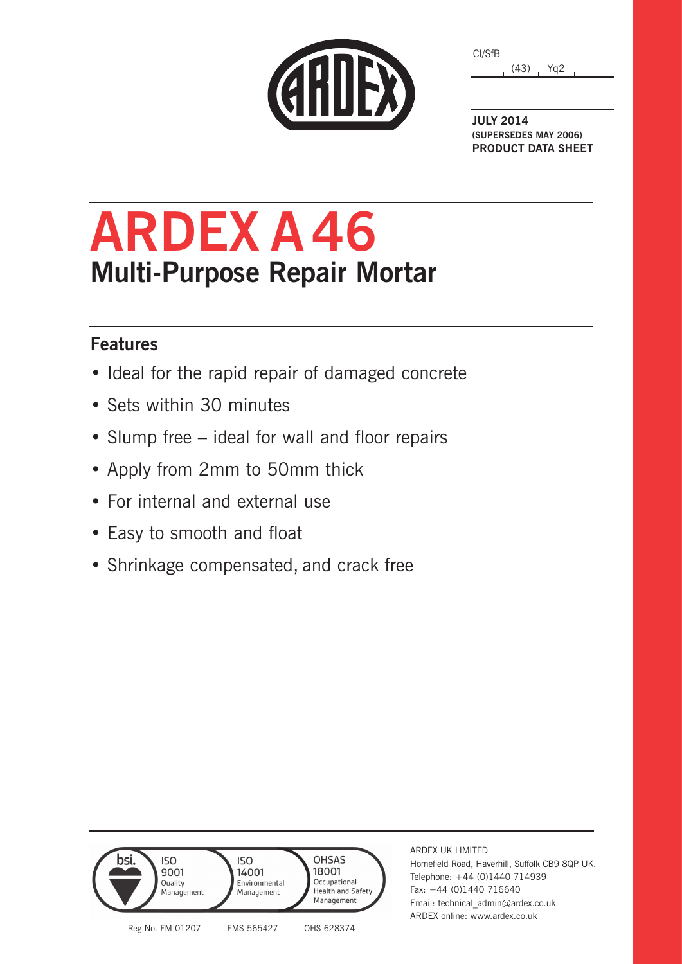|  | GRIJEX |  |
|--|--------|--|

| CI/SfB |      |                 |
|--------|------|-----------------|
|        | (43) | Yg <sub>2</sub> |

**JULY 2014 (SUPERSEDES MAY 2006) PRODUCT DATA SHEET**

# **ARDEX A 46 Multi-Purpose Repair Mortar**

### **Features**

- Ideal for the rapid repair of damaged concrete
- Sets within 30 minutes
- Slump free ideal for wall and floor repairs
- Apply from 2mm to 50mm thick
- For internal and external use
- Easy to smooth and float
- Shrinkage compensated, and crack free